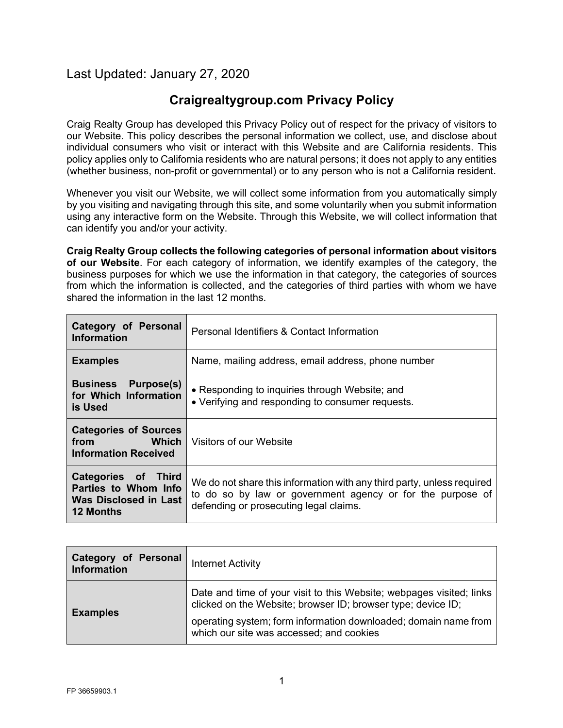# Last Updated: January 27, 2020

# **Craigrealtygroup.com Privacy Policy**

Craig Realty Group has developed this Privacy Policy out of respect for the privacy of visitors to our Website. This policy describes the personal information we collect, use, and disclose about individual consumers who visit or interact with this Website and are California residents. This policy applies only to California residents who are natural persons; it does not apply to any entities (whether business, non-profit or governmental) or to any person who is not a California resident.

Whenever you visit our Website, we will collect some information from you automatically simply by you visiting and navigating through this site, and some voluntarily when you submit information using any interactive form on the Website. Through this Website, we will collect information that can identify you and/or your activity.

**Craig Realty Group collects the following categories of personal information about visitors of our Website**. For each category of information, we identify examples of the category, the business purposes for which we use the information in that category, the categories of sources from which the information is collected, and the categories of third parties with whom we have shared the information in the last 12 months.

| Category of Personal<br><b>Information</b>                                               | Personal Identifiers & Contact Information                                                                                                                                     |
|------------------------------------------------------------------------------------------|--------------------------------------------------------------------------------------------------------------------------------------------------------------------------------|
| <b>Examples</b>                                                                          | Name, mailing address, email address, phone number                                                                                                                             |
| <b>Business</b><br><b>Purpose(s)</b><br>for Which Information<br>is Used                 | • Responding to inquiries through Website; and<br>• Verifying and responding to consumer requests.                                                                             |
| <b>Categories of Sources</b><br><b>Which</b><br>from<br><b>Information Received</b>      | Visitors of our Website                                                                                                                                                        |
| Categories of Third<br>Parties to Whom Info<br>Was Disclosed in Last<br><b>12 Months</b> | We do not share this information with any third party, unless required<br>to do so by law or government agency or for the purpose of<br>defending or prosecuting legal claims. |

| <b>Category of Personal</b><br><b>Information</b> | Internet Activity                                                                                                                    |
|---------------------------------------------------|--------------------------------------------------------------------------------------------------------------------------------------|
| <b>Examples</b>                                   | Date and time of your visit to this Website; webpages visited; links<br>clicked on the Website; browser ID; browser type; device ID; |
|                                                   | operating system; form information downloaded; domain name from<br>which our site was accessed; and cookies                          |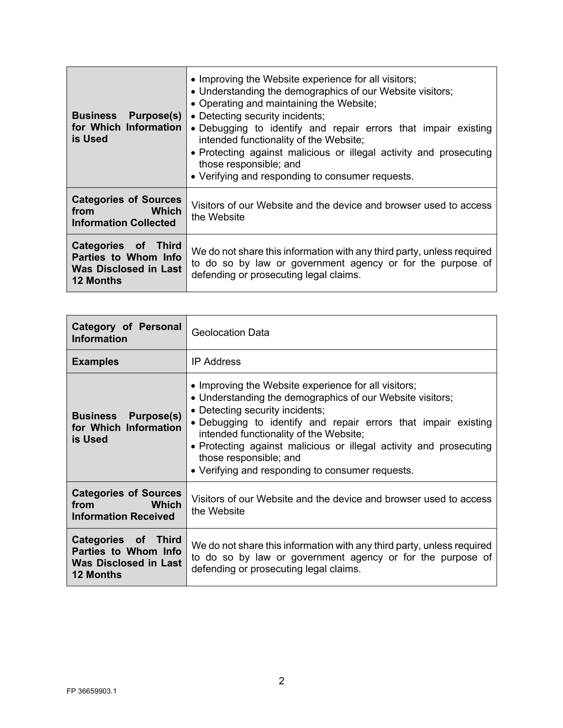| <b>Business</b><br>Purpose(s)<br>for Which Information<br>is Used                                  | • Improving the Website experience for all visitors;<br>• Understanding the demographics of our Website visitors;<br>• Operating and maintaining the Website;<br>• Detecting security incidents;<br>• Debugging to identify and repair errors that impair existing<br>intended functionality of the Website;<br>• Protecting against malicious or illegal activity and prosecuting<br>those responsible; and<br>• Verifying and responding to consumer requests. |
|----------------------------------------------------------------------------------------------------|------------------------------------------------------------------------------------------------------------------------------------------------------------------------------------------------------------------------------------------------------------------------------------------------------------------------------------------------------------------------------------------------------------------------------------------------------------------|
| <b>Categories of Sources</b><br><b>Which</b><br>from<br><b>Information Collected</b>               | Visitors of our Website and the device and browser used to access<br>the Website                                                                                                                                                                                                                                                                                                                                                                                 |
| Categories of<br><b>Third</b><br>Parties to Whom Info<br>Was Disclosed in Last<br><b>12 Months</b> | We do not share this information with any third party, unless required<br>to do so by law or government agency or for the purpose of<br>defending or prosecuting legal claims.                                                                                                                                                                                                                                                                                   |

| Category of Personal<br><b>Information</b>                                                      | <b>Geolocation Data</b>                                                                                                                                                                                                                                                                                                                                                                                              |
|-------------------------------------------------------------------------------------------------|----------------------------------------------------------------------------------------------------------------------------------------------------------------------------------------------------------------------------------------------------------------------------------------------------------------------------------------------------------------------------------------------------------------------|
| <b>Examples</b>                                                                                 | <b>IP Address</b>                                                                                                                                                                                                                                                                                                                                                                                                    |
| Purpose(s)<br><b>Business</b><br>for Which Information<br>is Used                               | • Improving the Website experience for all visitors;<br>• Understanding the demographics of our Website visitors;<br>• Detecting security incidents;<br>. Debugging to identify and repair errors that impair existing<br>intended functionality of the Website;<br>• Protecting against malicious or illegal activity and prosecuting<br>those responsible; and<br>• Verifying and responding to consumer requests. |
| <b>Categories of Sources</b><br>Which<br>from<br><b>Information Received</b>                    | Visitors of our Website and the device and browser used to access<br>the Website                                                                                                                                                                                                                                                                                                                                     |
| Categories of Third<br>Parties to Whom Info<br><b>Was Disclosed in Last</b><br><b>12 Months</b> | We do not share this information with any third party, unless required<br>to do so by law or government agency or for the purpose of<br>defending or prosecuting legal claims.                                                                                                                                                                                                                                       |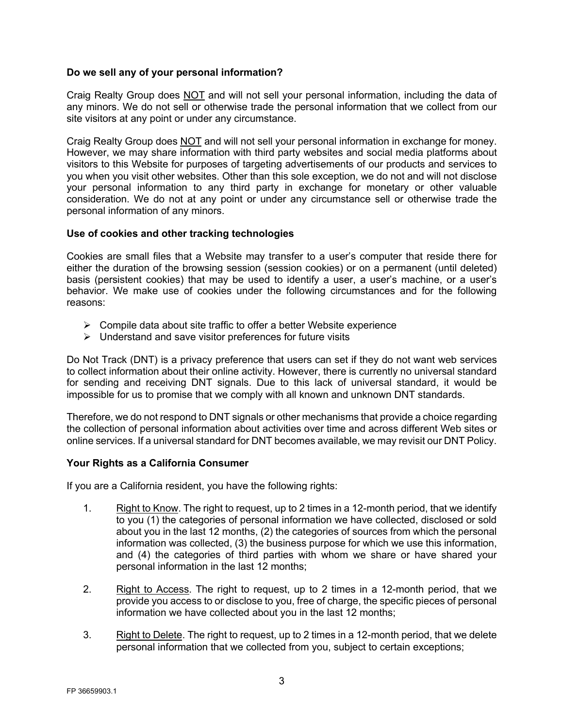# **Do we sell any of your personal information?**

Craig Realty Group does **NOT** and will not sell your personal information, including the data of any minors. We do not sell or otherwise trade the personal information that we collect from our site visitors at any point or under any circumstance.

Craig Realty Group does NOT and will not sell your personal information in exchange for money. However, we may share information with third party websites and social media platforms about visitors to this Website for purposes of targeting advertisements of our products and services to you when you visit other websites. Other than this sole exception, we do not and will not disclose your personal information to any third party in exchange for monetary or other valuable consideration. We do not at any point or under any circumstance sell or otherwise trade the personal information of any minors.

# **Use of cookies and other tracking technologies**

Cookies are small files that a Website may transfer to a user's computer that reside there for either the duration of the browsing session (session cookies) or on a permanent (until deleted) basis (persistent cookies) that may be used to identify a user, a user's machine, or a user's behavior. We make use of cookies under the following circumstances and for the following reasons:

- $\triangleright$  Compile data about site traffic to offer a better Website experience
- $\triangleright$  Understand and save visitor preferences for future visits

Do Not Track (DNT) is a privacy preference that users can set if they do not want web services to collect information about their online activity. However, there is currently no universal standard for sending and receiving DNT signals. Due to this lack of universal standard, it would be impossible for us to promise that we comply with all known and unknown DNT standards.

Therefore, we do not respond to DNT signals or other mechanisms that provide a choice regarding the collection of personal information about activities over time and across different Web sites or online services. If a universal standard for DNT becomes available, we may revisit our DNT Policy.

# **Your Rights as a California Consumer**

If you are a California resident, you have the following rights:

- 1. Right to Know. The right to request, up to 2 times in a 12-month period, that we identify to you (1) the categories of personal information we have collected, disclosed or sold about you in the last 12 months, (2) the categories of sources from which the personal information was collected, (3) the business purpose for which we use this information, and (4) the categories of third parties with whom we share or have shared your personal information in the last 12 months;
- 2. Right to Access. The right to request, up to 2 times in a 12-month period, that we provide you access to or disclose to you, free of charge, the specific pieces of personal information we have collected about you in the last 12 months;
- 3. Right to Delete. The right to request, up to 2 times in a 12-month period, that we delete personal information that we collected from you, subject to certain exceptions;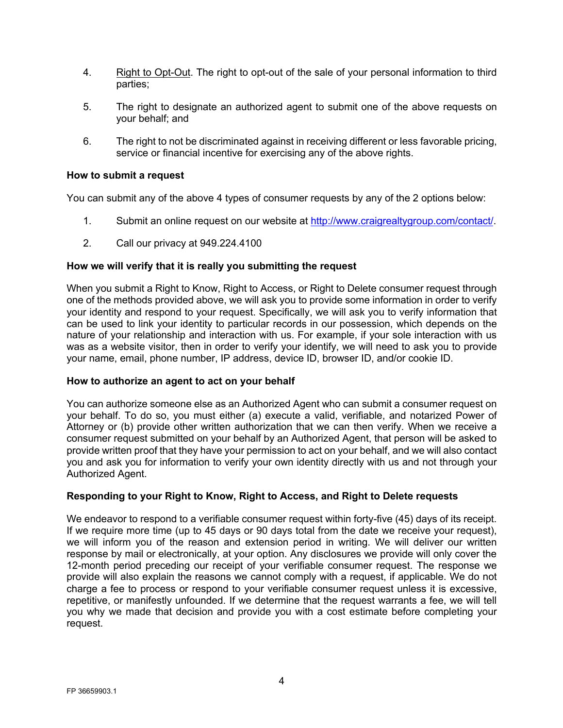- 4. Right to Opt-Out. The right to opt-out of the sale of your personal information to third parties;
- 5. The right to designate an authorized agent to submit one of the above requests on your behalf; and
- 6. The right to not be discriminated against in receiving different or less favorable pricing, service or financial incentive for exercising any of the above rights.

# **How to submit a request**

You can submit any of the above 4 types of consumer requests by any of the 2 options below:

- 1. Submit an online request on our website at http://www.craigrealtygroup.com/contact/.
- 2. Call our privacy at 949.224.4100

# **How we will verify that it is really you submitting the request**

When you submit a Right to Know, Right to Access, or Right to Delete consumer request through one of the methods provided above, we will ask you to provide some information in order to verify your identity and respond to your request. Specifically, we will ask you to verify information that can be used to link your identity to particular records in our possession, which depends on the nature of your relationship and interaction with us. For example, if your sole interaction with us was as a website visitor, then in order to verify your identify, we will need to ask you to provide your name, email, phone number, IP address, device ID, browser ID, and/or cookie ID.

### **How to authorize an agent to act on your behalf**

You can authorize someone else as an Authorized Agent who can submit a consumer request on your behalf. To do so, you must either (a) execute a valid, verifiable, and notarized Power of Attorney or (b) provide other written authorization that we can then verify. When we receive a consumer request submitted on your behalf by an Authorized Agent, that person will be asked to provide written proof that they have your permission to act on your behalf, and we will also contact you and ask you for information to verify your own identity directly with us and not through your Authorized Agent.

# **Responding to your Right to Know, Right to Access, and Right to Delete requests**

We endeavor to respond to a verifiable consumer request within forty-five (45) days of its receipt. If we require more time (up to 45 days or 90 days total from the date we receive your request), we will inform you of the reason and extension period in writing. We will deliver our written response by mail or electronically, at your option. Any disclosures we provide will only cover the 12-month period preceding our receipt of your verifiable consumer request. The response we provide will also explain the reasons we cannot comply with a request, if applicable. We do not charge a fee to process or respond to your verifiable consumer request unless it is excessive, repetitive, or manifestly unfounded. If we determine that the request warrants a fee, we will tell you why we made that decision and provide you with a cost estimate before completing your request.